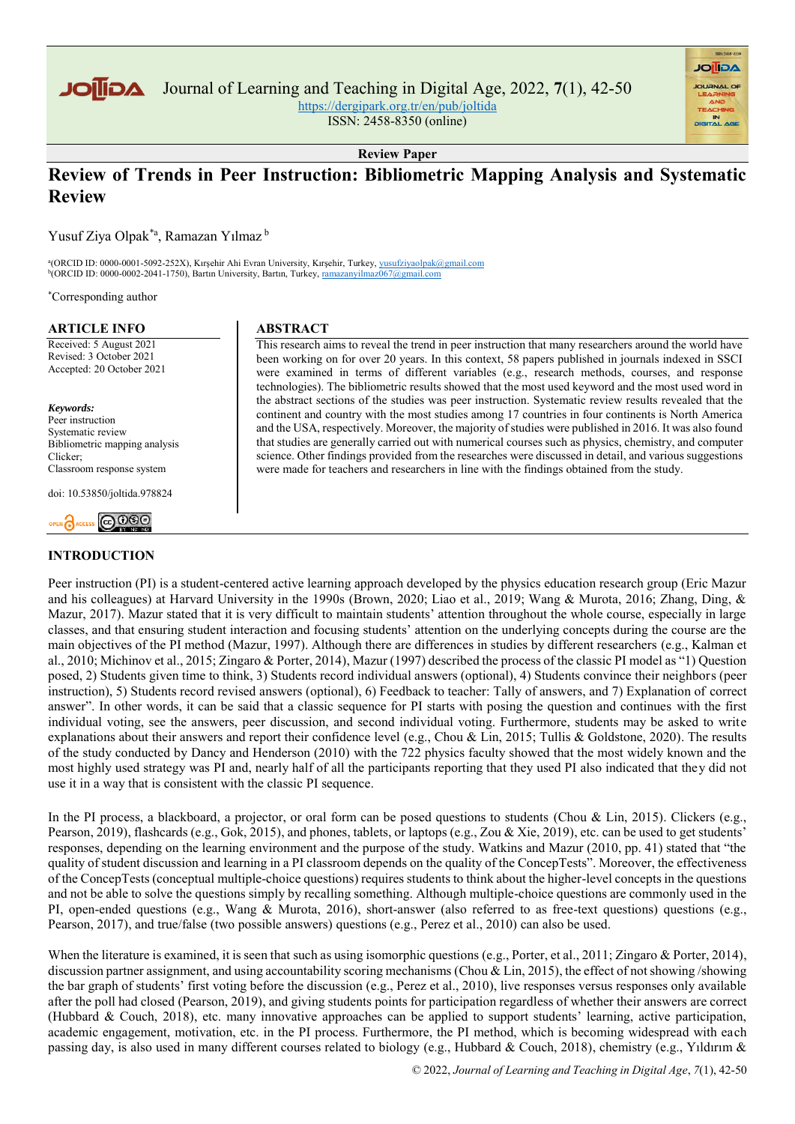

Journal of Learning and Teaching in Digital Age, 2022, **7**(1), 42-50

<https://dergipark.org.tr/en/pub/joltida>

ISSN: 2458-8350 (online)

**AGIIOL** 

**Review Paper**

# **Review of Trends in Peer Instruction: Bibliometric Mapping Analysis and Systematic Review**

Yusuf Ziya Olpak\*a , Ramazan Yılmaz <sup>b</sup>

<sup>a</sup>(ORCID ID: 0000-0001-5092-252X), Kırşehir Ahi Evran University, Kırşehir, Turkey, [yusufziyaolpak@gmail.com](mailto:yusufziyaolpak@gmail.com) <sup>b</sup>(ORCID ID: 0000-0002-2041-1750), Bartın University, Bartın, Turkey[, ramazanyilmaz067@gmail.com](mailto:ramazanyilmaz067@gmail.com)

\*Corresponding author

#### **ARTICLE INFO**

Received: 5 August 2021 Revised: 3 October 2021 Accepted: 20 October 2021

*Keywords:* Peer instruction Systematic review Bibliometric mapping analysis Clicker; Classroom response system

doi: 10.53850/joltida.978824



# **INTRODUCTION**

### **ABSTRACT**

This research aims to reveal the trend in peer instruction that many researchers around the world have been working on for over 20 years. In this context, 58 papers published in journals indexed in SSCI were examined in terms of different variables (e.g., research methods, courses, and response technologies). The bibliometric results showed that the most used keyword and the most used word in the abstract sections of the studies was peer instruction. Systematic review results revealed that the continent and country with the most studies among 17 countries in four continents is North America and the USA, respectively. Moreover, the majority of studies were published in 2016. It was also found that studies are generally carried out with numerical courses such as physics, chemistry, and computer science. Other findings provided from the researches were discussed in detail, and various suggestions were made for teachers and researchers in line with the findings obtained from the study.

Peer instruction (PI) is a student-centered active learning approach developed by the physics education research group (Eric Mazur and his colleagues) at Harvard University in the 1990s (Brown, 2020; Liao et al., 2019; Wang & Murota, 2016; Zhang, Ding, & Mazur, 2017). Mazur stated that it is very difficult to maintain students' attention throughout the whole course, especially in large classes, and that ensuring student interaction and focusing students' attention on the underlying concepts during the course are the main objectives of the PI method (Mazur, 1997). Although there are differences in studies by different researchers (e.g., Kalman et al., 2010; Michinov et al., 2015; Zingaro & Porter, 2014), Mazur (1997) described the process of the classic PI model as "1) Question posed, 2) Students given time to think, 3) Students record individual answers (optional), 4) Students convince their neighbors (peer instruction), 5) Students record revised answers (optional), 6) Feedback to teacher: Tally of answers, and 7) Explanation of correct answer". In other words, it can be said that a classic sequence for PI starts with posing the question and continues with the first individual voting, see the answers, peer discussion, and second individual voting. Furthermore, students may be asked to write explanations about their answers and report their confidence level (e.g., Chou & Lin, 2015; Tullis & Goldstone, 2020). The results of the study conducted by Dancy and Henderson (2010) with the 722 physics faculty showed that the most widely known and the most highly used strategy was PI and, nearly half of all the participants reporting that they used PI also indicated that they did not use it in a way that is consistent with the classic PI sequence.

In the PI process, a blackboard, a projector, or oral form can be posed questions to students (Chou & Lin, 2015). Clickers (e.g., Pearson, 2019), flashcards (e.g., Gok, 2015), and phones, tablets, or laptops (e.g., Zou & Xie, 2019), etc. can be used to get students' responses, depending on the learning environment and the purpose of the study. Watkins and Mazur (2010, pp. 41) stated that "the quality of student discussion and learning in a PI classroom depends on the quality of the ConcepTests". Moreover, the effectiveness of the ConcepTests (conceptual multiple-choice questions) requires students to think about the higher-level concepts in the questions and not be able to solve the questions simply by recalling something. Although multiple-choice questions are commonly used in the PI, open-ended questions (e.g., Wang & Murota, 2016), short-answer (also referred to as free-text questions) questions (e.g., Pearson, 2017), and true/false (two possible answers) questions (e.g., Perez et al., 2010) can also be used.

When the literature is examined, it is seen that such as using isomorphic questions (e.g., Porter, et al., 2011; Zingaro & Porter, 2014), discussion partner assignment, and using accountability scoring mechanisms (Chou & Lin, 2015), the effect of not showing /showing the bar graph of students' first voting before the discussion (e.g., Perez et al., 2010), live responses versus responses only available after the poll had closed (Pearson, 2019), and giving students points for participation regardless of whether their answers are correct (Hubbard & Couch, 2018), etc. many innovative approaches can be applied to support students' learning, active participation, academic engagement, motivation, etc. in the PI process. Furthermore, the PI method, which is becoming widespread with each passing day, is also used in many different courses related to biology (e.g., Hubbard & Couch, 2018), chemistry (e.g., Yıldırım &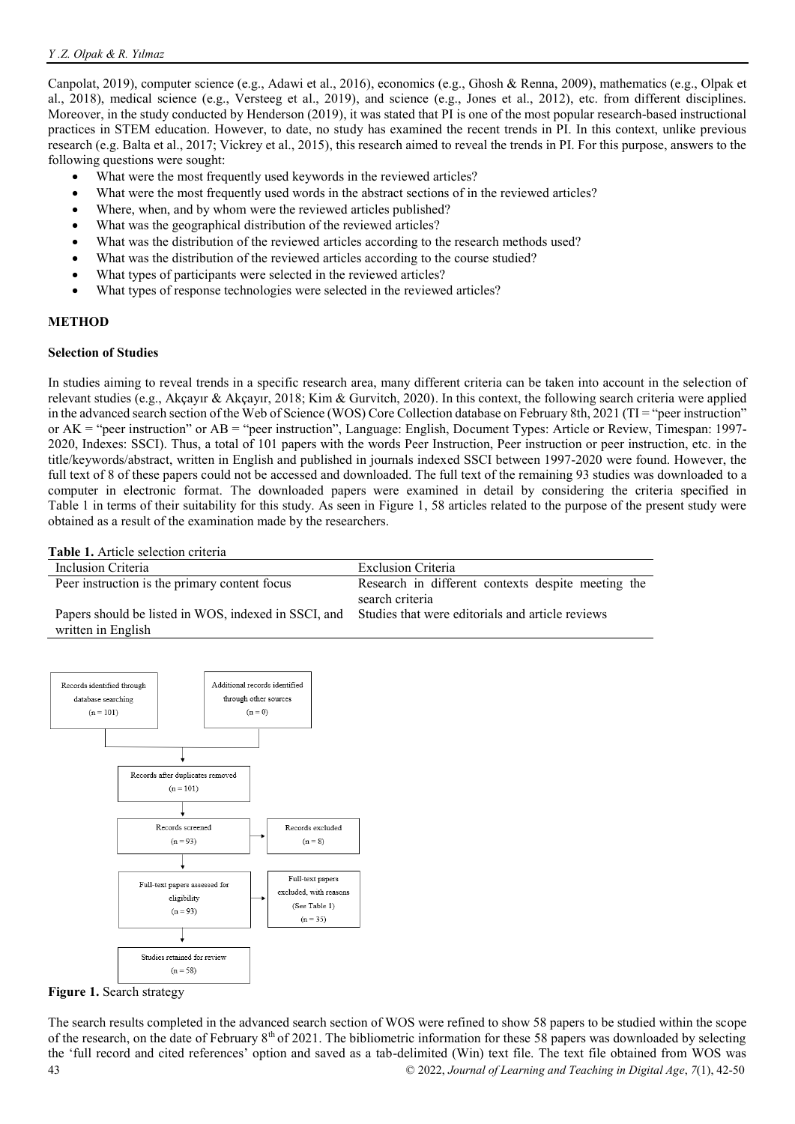Canpolat, 2019), computer science (e.g., Adawi et al., 2016), economics (e.g., Ghosh & Renna, 2009), mathematics (e.g., Olpak et al., 2018), medical science (e.g., Versteeg et al., 2019), and science (e.g., Jones et al., 2012), etc. from different disciplines. Moreover, in the study conducted by Henderson (2019), it was stated that PI is one of the most popular research-based instructional practices in STEM education. However, to date, no study has examined the recent trends in PI. In this context, unlike previous research (e.g. Balta et al., 2017; Vickrey et al., 2015), this research aimed to reveal the trends in PI. For this purpose, answers to the following questions were sought:

- What were the most frequently used keywords in the reviewed articles?
- What were the most frequently used words in the abstract sections of in the reviewed articles?
- Where, when, and by whom were the reviewed articles published?
- What was the geographical distribution of the reviewed articles?
- What was the distribution of the reviewed articles according to the research methods used?
- What was the distribution of the reviewed articles according to the course studied?
- What types of participants were selected in the reviewed articles?
- What types of response technologies were selected in the reviewed articles?

### **METHOD**

### **Selection of Studies**

In studies aiming to reveal trends in a specific research area, many different criteria can be taken into account in the selection of relevant studies (e.g., Akçayır & Akçayır, 2018; Kim & Gurvitch, 2020). In this context, the following search criteria were applied in the advanced search section of the Web of Science (WOS) Core Collection database on February 8th, 2021 (TI = "peer instruction" or AK = "peer instruction" or AB = "peer instruction", Language: English, Document Types: Article or Review, Timespan: 1997- 2020, Indexes: SSCI). Thus, a total of 101 papers with the words Peer Instruction, Peer instruction or peer instruction, etc. in the title/keywords/abstract, written in English and published in journals indexed SSCI between 1997-2020 were found. However, the full text of 8 of these papers could not be accessed and downloaded. The full text of the remaining 93 studies was downloaded to a computer in electronic format. The downloaded papers were examined in detail by considering the criteria specified in [Table 1](#page-1-0) in terms of their suitability for this study. As seen in [Figure 1,](#page-1-1) 58 articles related to the purpose of the present study were obtained as a result of the examination made by the researchers.

<span id="page-1-0"></span>**Table 1.** Article selection criteria

| Inclusion Criteria                                   | Exclusion Criteria                                 |
|------------------------------------------------------|----------------------------------------------------|
| Peer instruction is the primary content focus        | Research in different contexts despite meeting the |
|                                                      | search criteria                                    |
| Papers should be listed in WOS, indexed in SSCI, and | Studies that were editorials and article reviews   |
| written in English                                   |                                                    |



<span id="page-1-1"></span>**Figure 1. Search strategy** 

43 © 2022, *Journal of Learning and Teaching in Digital Age*, *7*(1), 42-50 The search results completed in the advanced search section of WOS were refined to show 58 papers to be studied within the scope of the research, on the date of February  $8<sup>th</sup>$  of 2021. The bibliometric information for these 58 papers was downloaded by selecting the 'full record and cited references' option and saved as a tab-delimited (Win) text file. The text file obtained from WOS was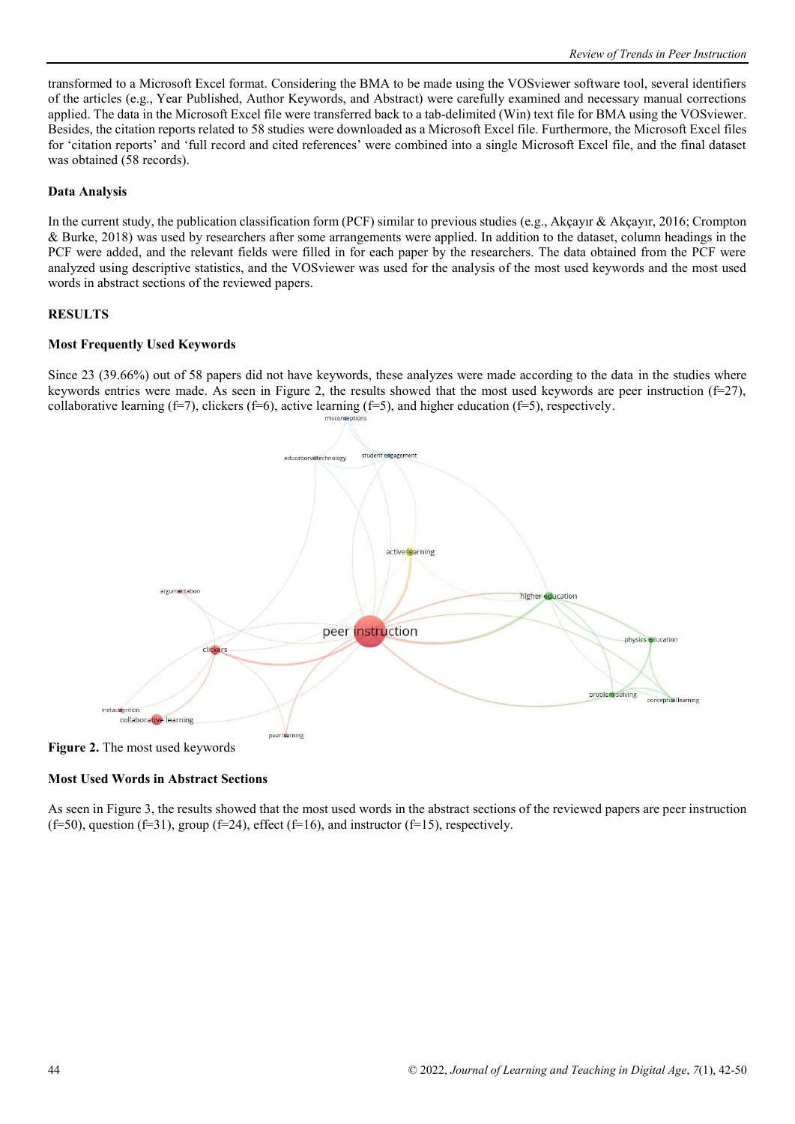transformed to a Microsoft Excel format. Considering the BMA to be made using the VOSviewer software tool, several identifiers of the articles (e.g., Year Published, Author Keywords, and Abstract) were carefully examined and necessary manual corrections applied. The data in the Microsoft Excel file were transferred back to a tab-delimited (Win) text file for BMA using the VOSviewer. Besides, the citation reports related to 58 studies were downloaded as a Microsoft Excel file. Furthermore, the Microsoft Excel files for 'citation reports' and 'full record and cited references' were combined into a single Microsoft Excel file, and the final dataset was obtained (58 records).

### **Data Analysis**

In the current study, the publication classification form (PCF) similar to previous studies (e.g., Akçayır & Akçayır, 2016; Crompton & Burke, 2018) was used by researchers after some arrangements were applied. In addition to the dataset, column headings in the PCF were added, and the relevant fields were filled in for each paper by the researchers. The data obtained from the PCF were analyzed using descriptive statistics, and the VOSviewer was used for the analysis of the most used keywords and the most used words in abstract sections of the reviewed papers.

### **RESULTS**

### **Most Frequently Used Keywords**

Since 23 (39.66%) out of 58 papers did not have keywords, these analyzes were made according to the data in the studies where keywords entries were made. As seen in Figure 2, the results showed that the most used keywords are peer instruction  $(f=27)$ , collaborative learning (f=7), clickers (f=6), active learning (f=5), and higher education (f=5), respectively.



**Figure 2.** The most used keywords

# **Most Used Words in Abstract Sections**

As seen in Figure 3, the results showed that the most used words in the abstract sections of the reviewed papers are peer instruction (f=50), question (f=31), group (f=24), effect (f=16), and instructor (f=15), respectively.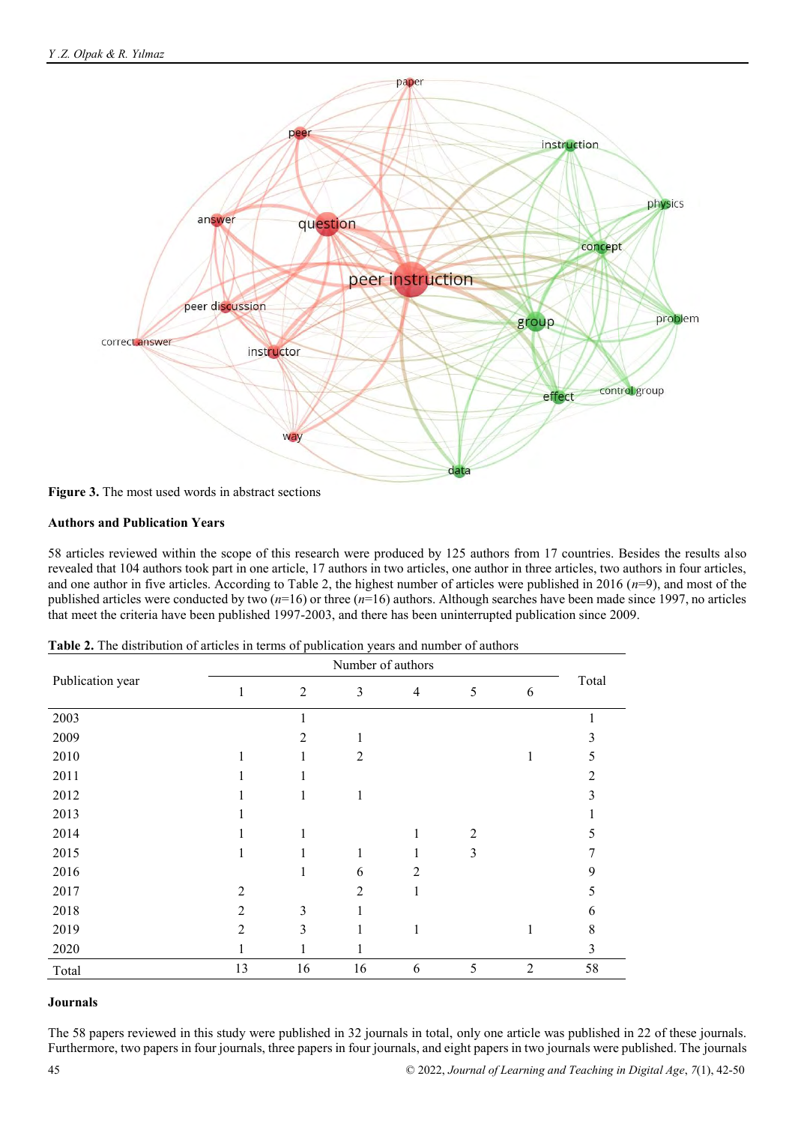

**Figure 3.** The most used words in abstract sections

# **Authors and Publication Years**

58 articles reviewed within the scope of this research were produced by 125 authors from 17 countries. Besides the results also revealed that 104 authors took part in one article, 17 authors in two articles, one author in three articles, two authors in four articles, and one author in five articles. According to Table 2, the highest number of articles were published in 2016 (*n*=9), and most of the published articles were conducted by two (*n*=16) or three (*n*=16) authors. Although searches have been made since 1997, no articles that meet the criteria have been published 1997-2003, and there has been uninterrupted publication since 2009.

|                  |                | Number of authors |                |                |                |                |       |
|------------------|----------------|-------------------|----------------|----------------|----------------|----------------|-------|
| Publication year | $\mathbf{1}$   | $\overline{2}$    | 3              | $\overline{4}$ | 5              | 6              | Total |
| 2003             |                | 1                 |                |                |                |                |       |
| 2009             |                | $\overline{2}$    |                |                |                |                | 3     |
| 2010             |                | 1                 | $\overline{2}$ |                |                | 1              | 5     |
| 2011             | 1              | 1                 |                |                |                |                | 2     |
| 2012             |                | 1                 | 1              |                |                |                | 3     |
| 2013             |                |                   |                |                |                |                |       |
| 2014             |                | 1                 |                | 1              | $\overline{2}$ |                | 5     |
| 2015             | 1              | $\mathbf{I}$      | 1              | 1              | 3              |                |       |
| 2016             |                | 1                 | 6              | $\overline{2}$ |                |                | 9     |
| 2017             | $\overline{2}$ |                   | $\overline{2}$ | 1              |                |                | 5     |
| 2018             | $\overline{2}$ | 3                 |                |                |                |                | 6     |
| 2019             | $\overline{2}$ | 3                 |                | 1              |                | 1              | 8     |
| 2020             |                | 1                 |                |                |                |                | 3     |
| Total            | 13             | 16                | 16             | 6              | 5              | $\overline{2}$ | 58    |

**Table 2.** The distribution of articles in terms of publication years and number of authors

### **Journals**

The 58 papers reviewed in this study were published in 32 journals in total, only one article was published in 22 of these journals. Furthermore, two papers in four journals, three papers in four journals, and eight papers in two journals were published. The journals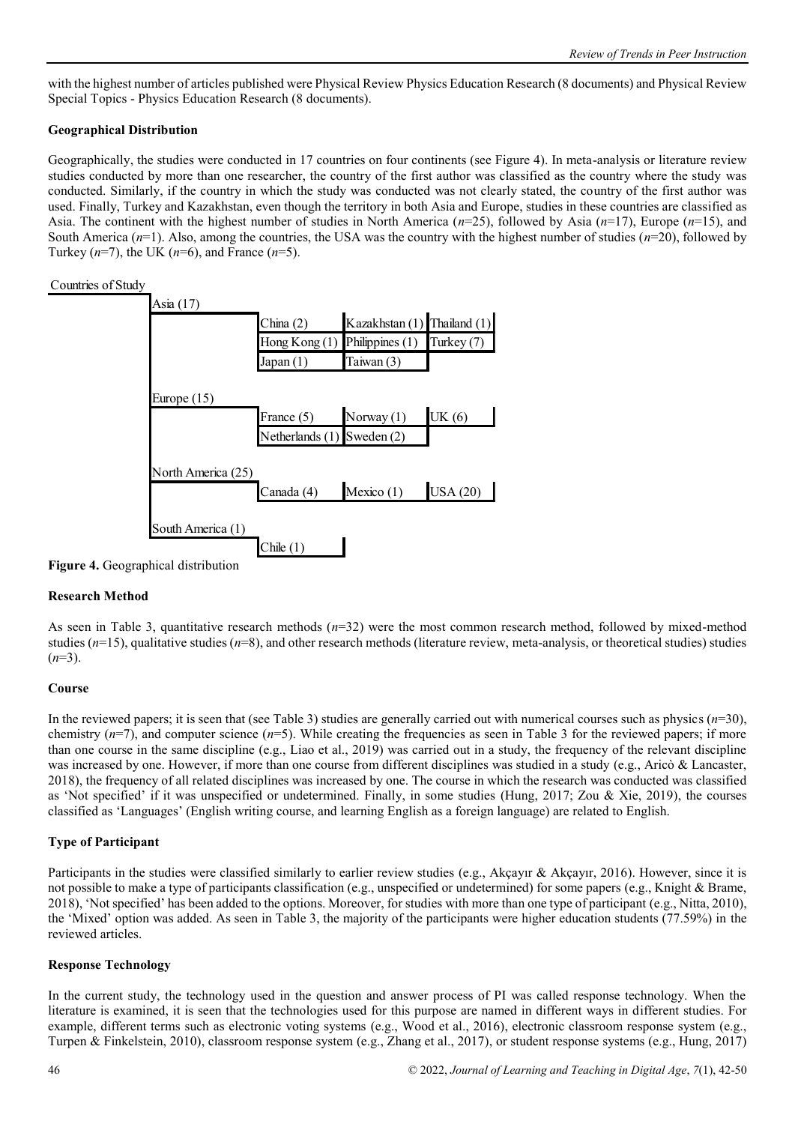with the highest number of articles published were Physical Review Physics Education Research (8 documents) and Physical Review Special Topics - Physics Education Research (8 documents).

# **Geographical Distribution**

Geographically, the studies were conducted in 17 countries on four continents (see Figure 4). In meta-analysis or literature review studies conducted by more than one researcher, the country of the first author was classified as the country where the study was conducted. Similarly, if the country in which the study was conducted was not clearly stated, the country of the first author was used. Finally, Turkey and Kazakhstan, even though the territory in both Asia and Europe, studies in these countries are classified as Asia. The continent with the highest number of studies in North America (*n*=25), followed by Asia (*n*=17), Europe (*n*=15), and South America (*n*=1). Also, among the countries, the USA was the country with the highest number of studies (*n*=20), followed by Turkey (*n*=7), the UK (*n*=6), and France (*n*=5).

# Countries of Study

|                    | China $(2)$                       | Kazakhstan (1) Thailand (1) |                 |
|--------------------|-----------------------------------|-----------------------------|-----------------|
|                    | Hong Kong $(1)$ Philippines $(1)$ |                             | Turkey (7)      |
|                    | Japan(1)                          | Taiwan (3)                  |                 |
|                    |                                   |                             |                 |
| Europe $(15)$      |                                   |                             |                 |
|                    | France (5)                        | Norway (1)                  | UK(6)           |
|                    | Netherlands $(1)$ Sweden $(2)$    |                             |                 |
|                    |                                   |                             |                 |
| North America (25) |                                   |                             |                 |
|                    | Canada (4)                        | Mexico (1)                  | <b>USA</b> (20) |
|                    |                                   |                             |                 |

**Figure 4.** Geographical distribution

# **Research Method**

As seen in Table 3, quantitative research methods (*n*=32) were the most common research method, followed by mixed-method studies ( $n=15$ ), qualitative studies ( $n=8$ ), and other research methods (literature review, meta-analysis, or theoretical studies) studies  $(n=3)$ .

# **Course**

In the reviewed papers; it is seen that (see Table 3) studies are generally carried out with numerical courses such as physics  $(n=30)$ , chemistry  $(n=7)$ , and computer science  $(n=5)$ . While creating the frequencies as seen in Table 3 for the reviewed papers; if more than one course in the same discipline (e.g., Liao et al., 2019) was carried out in a study, the frequency of the relevant discipline was increased by one. However, if more than one course from different disciplines was studied in a study (e.g., Aricò & Lancaster, 2018), the frequency of all related disciplines was increased by one. The course in which the research was conducted was classified as 'Not specified' if it was unspecified or undetermined. Finally, in some studies (Hung, 2017; Zou & Xie, 2019), the courses classified as 'Languages' (English writing course, and learning English as a foreign language) are related to English.

# **Type of Participant**

Participants in the studies were classified similarly to earlier review studies (e.g., Akçayır & Akçayır, 2016). However, since it is not possible to make a type of participants classification (e.g., unspecified or undetermined) for some papers (e.g., Knight & Brame, 2018), 'Not specified' has been added to the options. Moreover, for studies with more than one type of participant (e.g., Nitta, 2010), the 'Mixed' option was added. As seen in Table 3, the majority of the participants were higher education students (77.59%) in the reviewed articles.

### **Response Technology**

In the current study, the technology used in the question and answer process of PI was called response technology. When the literature is examined, it is seen that the technologies used for this purpose are named in different ways in different studies. For example, different terms such as electronic voting systems (e.g., Wood et al., 2016), electronic classroom response system (e.g., Turpen & Finkelstein, 2010), classroom response system (e.g., Zhang et al., 2017), or student response systems (e.g., Hung, 2017)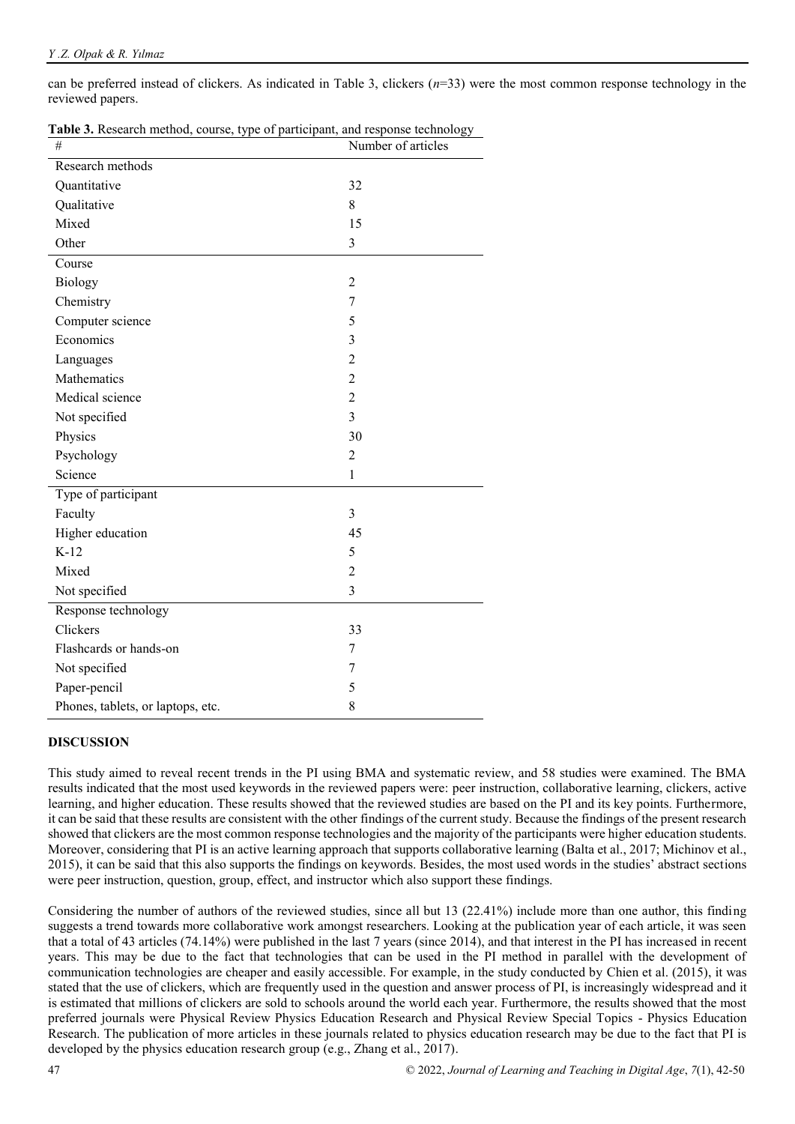can be preferred instead of clickers. As indicated in Table 3, clickers (*n*=33) were the most common response technology in the reviewed papers.

| $\#$                              | Number of articles |
|-----------------------------------|--------------------|
| Research methods                  |                    |
| Quantitative                      | 32                 |
| Qualitative                       | 8                  |
| Mixed                             | 15                 |
| Other                             | 3                  |
| Course                            |                    |
| <b>Biology</b>                    | $\overline{2}$     |
| Chemistry                         | 7                  |
| Computer science                  | 5                  |
| Economics                         | 3                  |
| Languages                         | $\overline{2}$     |
| Mathematics                       | $\overline{2}$     |
| Medical science                   | $\overline{2}$     |
| Not specified                     | $\overline{3}$     |
| Physics                           | 30                 |
| Psychology                        | $\overline{2}$     |
| Science                           | $\mathbf{1}$       |
| Type of participant               |                    |
| Faculty                           | 3                  |
| Higher education                  | 45                 |
| $K-12$                            | 5                  |
| Mixed                             | $\overline{2}$     |
| Not specified                     | 3                  |
| Response technology               |                    |
| Clickers                          | 33                 |
| Flashcards or hands-on            | 7                  |
| Not specified                     | 7                  |
| Paper-pencil                      | 5                  |
| Phones, tablets, or laptops, etc. | 8                  |

**Table 3.** Research method, course, type of participant, and response technology

### **DISCUSSION**

This study aimed to reveal recent trends in the PI using BMA and systematic review, and 58 studies were examined. The BMA results indicated that the most used keywords in the reviewed papers were: peer instruction, collaborative learning, clickers, active learning, and higher education. These results showed that the reviewed studies are based on the PI and its key points. Furthermore, it can be said that these results are consistent with the other findings of the current study. Because the findings of the present research showed that clickers are the most common response technologies and the majority of the participants were higher education students. Moreover, considering that PI is an active learning approach that supports collaborative learning (Balta et al., 2017; Michinov et al., 2015), it can be said that this also supports the findings on keywords. Besides, the most used words in the studies' abstract sections were peer instruction, question, group, effect, and instructor which also support these findings.

Considering the number of authors of the reviewed studies, since all but 13 (22.41%) include more than one author, this finding suggests a trend towards more collaborative work amongst researchers. Looking at the publication year of each article, it was seen that a total of 43 articles (74.14%) were published in the last 7 years (since 2014), and that interest in the PI has increased in recent years. This may be due to the fact that technologies that can be used in the PI method in parallel with the development of communication technologies are cheaper and easily accessible. For example, in the study conducted by Chien et al. (2015), it was stated that the use of clickers, which are frequently used in the question and answer process of PI, is increasingly widespread and it is estimated that millions of clickers are sold to schools around the world each year. Furthermore, the results showed that the most preferred journals were Physical Review Physics Education Research and Physical Review Special Topics - Physics Education Research. The publication of more articles in these journals related to physics education research may be due to the fact that PI is developed by the physics education research group (e.g., Zhang et al., 2017).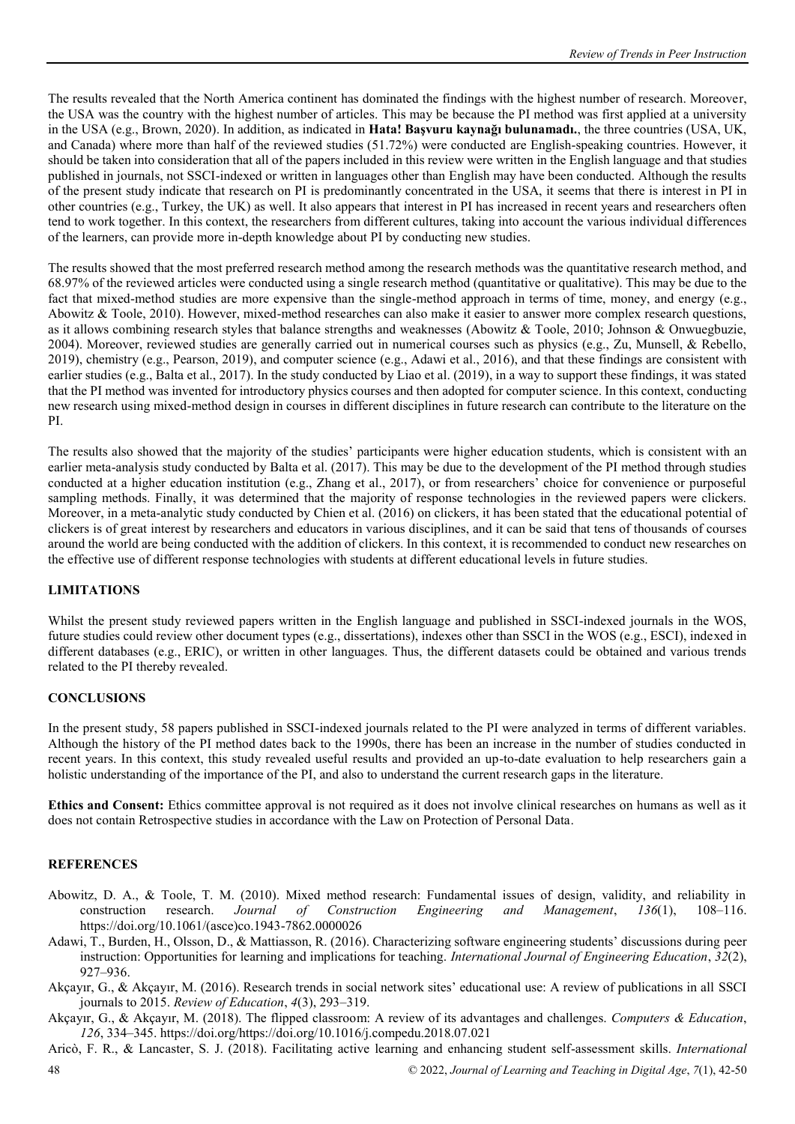The results revealed that the North America continent has dominated the findings with the highest number of research. Moreover, the USA was the country with the highest number of articles. This may be because the PI method was first applied at a university in the USA (e.g., Brown, 2020). In addition, as indicated in **Hata! Başvuru kaynağı bulunamadı.**, the three countries (USA, UK, and Canada) where more than half of the reviewed studies (51.72%) were conducted are English-speaking countries. However, it should be taken into consideration that all of the papers included in this review were written in the English language and that studies published in journals, not SSCI-indexed or written in languages other than English may have been conducted. Although the results of the present study indicate that research on PI is predominantly concentrated in the USA, it seems that there is interest in PI in other countries (e.g., Turkey, the UK) as well. It also appears that interest in PI has increased in recent years and researchers often tend to work together. In this context, the researchers from different cultures, taking into account the various individual differences of the learners, can provide more in-depth knowledge about PI by conducting new studies.

The results showed that the most preferred research method among the research methods was the quantitative research method, and 68.97% of the reviewed articles were conducted using a single research method (quantitative or qualitative). This may be due to the fact that mixed-method studies are more expensive than the single-method approach in terms of time, money, and energy (e.g., Abowitz & Toole, 2010). However, mixed-method researches can also make it easier to answer more complex research questions, as it allows combining research styles that balance strengths and weaknesses (Abowitz & Toole, 2010; Johnson & Onwuegbuzie, 2004). Moreover, reviewed studies are generally carried out in numerical courses such as physics (e.g., Zu, Munsell, & Rebello, 2019), chemistry (e.g., Pearson, 2019), and computer science (e.g., Adawi et al., 2016), and that these findings are consistent with earlier studies (e.g., Balta et al., 2017). In the study conducted by Liao et al. (2019), in a way to support these findings, it was stated that the PI method was invented for introductory physics courses and then adopted for computer science. In this context, conducting new research using mixed-method design in courses in different disciplines in future research can contribute to the literature on the PI.

The results also showed that the majority of the studies' participants were higher education students, which is consistent with an earlier meta-analysis study conducted by Balta et al. (2017). This may be due to the development of the PI method through studies conducted at a higher education institution (e.g., Zhang et al., 2017), or from researchers' choice for convenience or purposeful sampling methods. Finally, it was determined that the majority of response technologies in the reviewed papers were clickers. Moreover, in a meta-analytic study conducted by Chien et al. (2016) on clickers, it has been stated that the educational potential of clickers is of great interest by researchers and educators in various disciplines, and it can be said that tens of thousands of courses around the world are being conducted with the addition of clickers. In this context, it is recommended to conduct new researches on the effective use of different response technologies with students at different educational levels in future studies.

### **LIMITATIONS**

Whilst the present study reviewed papers written in the English language and published in SSCI-indexed journals in the WOS, future studies could review other document types (e.g., dissertations), indexes other than SSCI in the WOS (e.g., ESCI), indexed in different databases (e.g., ERIC), or written in other languages. Thus, the different datasets could be obtained and various trends related to the PI thereby revealed.

### **CONCLUSIONS**

In the present study, 58 papers published in SSCI-indexed journals related to the PI were analyzed in terms of different variables. Although the history of the PI method dates back to the 1990s, there has been an increase in the number of studies conducted in recent years. In this context, this study revealed useful results and provided an up-to-date evaluation to help researchers gain a holistic understanding of the importance of the PI, and also to understand the current research gaps in the literature.

**Ethics and Consent:** Ethics committee approval is not required as it does not involve clinical researches on humans as well as it does not contain Retrospective studies in accordance with the Law on Protection of Personal Data.

### **REFERENCES**

- Abowitz, D. A., & Toole, T. M. (2010). Mixed method research: Fundamental issues of design, validity, and reliability in construction research. *Journal of Construction Engineering and Management*, *136*(1), 108–116. https://doi.org/10.1061/(asce)co.1943-7862.0000026
- Adawi, T., Burden, H., Olsson, D., & Mattiasson, R. (2016). Characterizing software engineering students' discussions during peer instruction: Opportunities for learning and implications for teaching. *International Journal of Engineering Education*, *32*(2), 927–936.
- Akçayır, G., & Akçayır, M. (2016). Research trends in social network sites' educational use: A review of publications in all SSCI journals to 2015. *Review of Education*, *4*(3), 293–319.
- Akçayır, G., & Akçayır, M. (2018). The flipped classroom: A review of its advantages and challenges. *Computers & Education*, *126*, 334–345. https://doi.org/https://doi.org/10.1016/j.compedu.2018.07.021
- 48 © 2022, *Journal of Learning and Teaching in Digital Age*, *7*(1), 42-50 Aricò, F. R., & Lancaster, S. J. (2018). Facilitating active learning and enhancing student self-assessment skills. *International*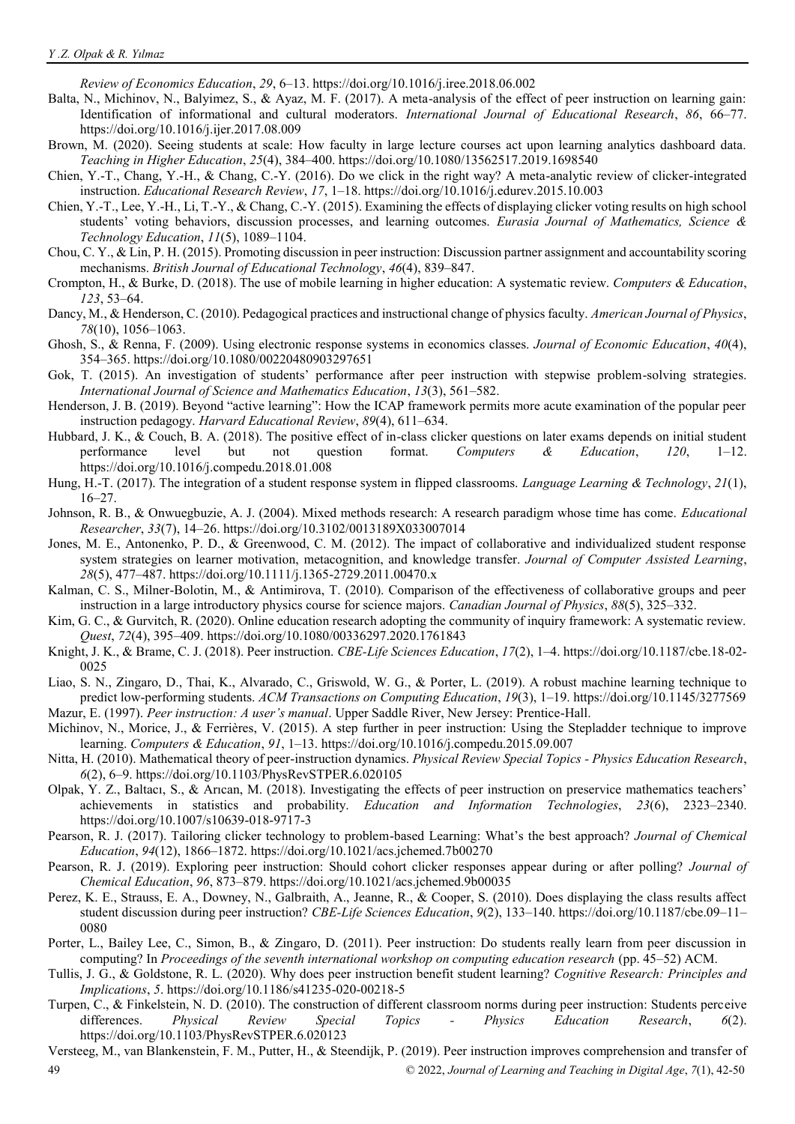*Review of Economics Education*, *29*, 6–13. https://doi.org/10.1016/j.iree.2018.06.002

Balta, N., Michinov, N., Balyimez, S., & Ayaz, M. F. (2017). A meta-analysis of the effect of peer instruction on learning gain: Identification of informational and cultural moderators. *International Journal of Educational Research*, *86*, 66–77. https://doi.org/10.1016/j.ijer.2017.08.009

- Brown, M. (2020). Seeing students at scale: How faculty in large lecture courses act upon learning analytics dashboard data. *Teaching in Higher Education*, *25*(4), 384–400. https://doi.org/10.1080/13562517.2019.1698540
- Chien, Y.-T., Chang, Y.-H., & Chang, C.-Y. (2016). Do we click in the right way? A meta-analytic review of clicker-integrated instruction. *Educational Research Review*, *17*, 1–18. https://doi.org/10.1016/j.edurev.2015.10.003
- Chien, Y.-T., Lee, Y.-H., Li, T.-Y., & Chang, C.-Y. (2015). Examining the effects of displaying clicker voting results on high school students' voting behaviors, discussion processes, and learning outcomes. *Eurasia Journal of Mathematics, Science & Technology Education*, *11*(5), 1089–1104.
- Chou, C. Y., & Lin, P. H. (2015). Promoting discussion in peer instruction: Discussion partner assignment and accountability scoring mechanisms. *British Journal of Educational Technology*, *46*(4), 839–847.
- Crompton, H., & Burke, D. (2018). The use of mobile learning in higher education: A systematic review. *Computers & Education*, *123*, 53–64.
- Dancy, M., & Henderson, C. (2010). Pedagogical practices and instructional change of physics faculty. *American Journal of Physics*, *78*(10), 1056–1063.
- Ghosh, S., & Renna, F. (2009). Using electronic response systems in economics classes. *Journal of Economic Education*, *40*(4), 354–365. https://doi.org/10.1080/00220480903297651
- Gok, T. (2015). An investigation of students' performance after peer instruction with stepwise problem-solving strategies. *International Journal of Science and Mathematics Education*, *13*(3), 561–582.
- Henderson, J. B. (2019). Beyond "active learning": How the ICAP framework permits more acute examination of the popular peer instruction pedagogy. *Harvard Educational Review*, *89*(4), 611–634.
- Hubbard, J. K., & Couch, B. A. (2018). The positive effect of in-class clicker questions on later exams depends on initial student performance level but not question format. *Computers & Education*, *120*, 1–12. https://doi.org/10.1016/j.compedu.2018.01.008
- Hung, H.-T. (2017). The integration of a student response system in flipped classrooms. *Language Learning & Technology*, *21*(1), 16–27.
- Johnson, R. B., & Onwuegbuzie, A. J. (2004). Mixed methods research: A research paradigm whose time has come. *Educational Researcher*, *33*(7), 14–26. https://doi.org/10.3102/0013189X033007014
- Jones, M. E., Antonenko, P. D., & Greenwood, C. M. (2012). The impact of collaborative and individualized student response system strategies on learner motivation, metacognition, and knowledge transfer. *Journal of Computer Assisted Learning*, *28*(5), 477–487. https://doi.org/10.1111/j.1365-2729.2011.00470.x
- Kalman, C. S., Milner-Bolotin, M., & Antimirova, T. (2010). Comparison of the effectiveness of collaborative groups and peer instruction in a large introductory physics course for science majors. *Canadian Journal of Physics*, *88*(5), 325–332.
- Kim, G. C., & Gurvitch, R. (2020). Online education research adopting the community of inquiry framework: A systematic review. *Quest*, *72*(4), 395–409. https://doi.org/10.1080/00336297.2020.1761843
- Knight, J. K., & Brame, C. J. (2018). Peer instruction. *CBE-Life Sciences Education*, *17*(2), 1–4. https://doi.org/10.1187/cbe.18-02- 0025
- Liao, S. N., Zingaro, D., Thai, K., Alvarado, C., Griswold, W. G., & Porter, L. (2019). A robust machine learning technique to predict low-performing students. *ACM Transactions on Computing Education*, *19*(3), 1–19. https://doi.org/10.1145/3277569 Mazur, E. (1997). *Peer instruction: A user's manual*. Upper Saddle River, New Jersey: Prentice-Hall.
- Michinov, N., Morice, J., & Ferrières, V. (2015). A step further in peer instruction: Using the Stepladder technique to improve learning. *Computers & Education*, *91*, 1–13. https://doi.org/10.1016/j.compedu.2015.09.007
- Nitta, H. (2010). Mathematical theory of peer-instruction dynamics. *Physical Review Special Topics Physics Education Research*, *6*(2), 6–9. https://doi.org/10.1103/PhysRevSTPER.6.020105
- Olpak, Y. Z., Baltacı, S., & Arıcan, M. (2018). Investigating the effects of peer instruction on preservice mathematics teachers' achievements in statistics and probability. *Education and Information Technologies*, *23*(6), 2323–2340. https://doi.org/10.1007/s10639-018-9717-3
- Pearson, R. J. (2017). Tailoring clicker technology to problem-based Learning: What's the best approach? *Journal of Chemical Education*, *94*(12), 1866–1872. https://doi.org/10.1021/acs.jchemed.7b00270
- Pearson, R. J. (2019). Exploring peer instruction: Should cohort clicker responses appear during or after polling? *Journal of Chemical Education*, *96*, 873–879. https://doi.org/10.1021/acs.jchemed.9b00035
- Perez, K. E., Strauss, E. A., Downey, N., Galbraith, A., Jeanne, R., & Cooper, S. (2010). Does displaying the class results affect student discussion during peer instruction? *CBE-Life Sciences Education*, *9*(2), 133–140. https://doi.org/10.1187/cbe.09–11– 0080
- Porter, L., Bailey Lee, C., Simon, B., & Zingaro, D. (2011). Peer instruction: Do students really learn from peer discussion in computing? In *Proceedings of the seventh international workshop on computing education research* (pp. 45–52) ACM.
- Tullis, J. G., & Goldstone, R. L. (2020). Why does peer instruction benefit student learning? *Cognitive Research: Principles and Implications*, *5*. https://doi.org/10.1186/s41235-020-00218-5
- Turpen, C., & Finkelstein, N. D. (2010). The construction of different classroom norms during peer instruction: Students perceive differences. *Physical Review Special Topics - Physics Education Research*, *6*(2). https://doi.org/10.1103/PhysRevSTPER.6.020123
- 49 © 2022, *Journal of Learning and Teaching in Digital Age*, *7*(1), 42-50 Versteeg, M., van Blankenstein, F. M., Putter, H., & Steendijk, P. (2019). Peer instruction improves comprehension and transfer of